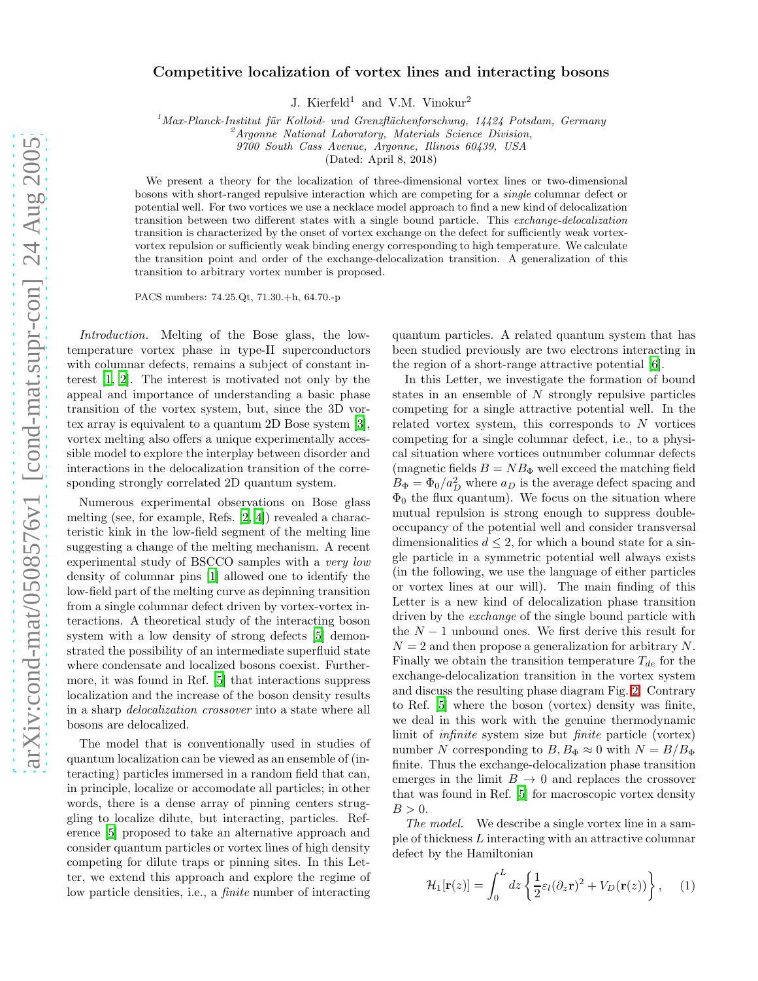## Competitive localization of vortex lines and interacting bosons

J. Kierfeld<sup>1</sup> and V.M. Vinokur<sup>2</sup>

 $1<sup>1</sup>$ Max-Planck-Institut für Kolloid- und Grenzflächenforschung, 14424 Potsdam, Germany

 ${}^{\circ}$ Argonne National Laboratory, Materials Science Division,

9700 South Cass Avenue, Argonne, Illinois 60439, USA

(Dated: April 8, 2018)

We present a theory for the localization of three-dimensional vortex lines or two-dimensional bosons with short-ranged repulsive interaction which are competing for a single columnar defect or potential well. For two vortices we use a necklace model approach to find a new kind of delocalization transition between two different states with a single bound particle. This exchange-delocalization transition is characterized by the onset of vortex exchange on the defect for sufficiently weak vortexvortex repulsion or sufficiently weak binding energy corresponding to high temperature. We calculate the transition point and order of the exchange-delocalization transition. A generalization of this transition to arbitrary vortex number is proposed.

PACS numbers: 74.25.Qt, 71.30.+h, 64.70.-p

Introduction. Melting of the Bose glass, the lowtemperature vortex phase in type-II superconductors with columnar defects, remains a subject of constant interest [\[1](#page-3-0), [2](#page-3-1)]. The interest is motivated not only by the appeal and importance of understanding a basic phase transition of the vortex system, but, since the 3D vortex array is equivalent to a quantum 2D Bose system [\[3\]](#page-3-2), vortex melting also offers a unique experimentally accessible model to explore the interplay between disorder and interactions in the delocalization transition of the corresponding strongly correlated 2D quantum system.

Numerous experimental observations on Bose glass melting (see, for example, Refs. [\[2,](#page-3-1) [4\]](#page-3-3)) revealed a characteristic kink in the low-field segment of the melting line suggesting a change of the melting mechanism. A recent experimental study of BSCCO samples with a very low density of columnar pins [\[1](#page-3-0)] allowed one to identify the low-field part of the melting curve as depinning transition from a single columnar defect driven by vortex-vortex interactions. A theoretical study of the interacting boson system with a low density of strong defects [\[5](#page-3-4)] demonstrated the possibility of an intermediate superfluid state where condensate and localized bosons coexist. Furthermore, it was found in Ref. [\[5](#page-3-4)] that interactions suppress localization and the increase of the boson density results in a sharp delocalization crossover into a state where all bosons are delocalized.

The model that is conventionally used in studies of quantum localization can be viewed as an ensemble of (interacting) particles immersed in a random field that can, in principle, localize or accomodate all particles; in other words, there is a dense array of pinning centers struggling to localize dilute, but interacting, particles. Reference [\[5\]](#page-3-4) proposed to take an alternative approach and consider quantum particles or vortex lines of high density competing for dilute traps or pinning sites. In this Letter, we extend this approach and explore the regime of low particle densities, i.e., a finite number of interacting

quantum particles. A related quantum system that has been studied previously are two electrons interacting in the region of a short-range attractive potential [\[6\]](#page-4-0).

In this Letter, we investigate the formation of bound states in an ensemble of N strongly repulsive particles competing for a single attractive potential well. In the related vortex system, this corresponds to  $N$  vortices competing for a single columnar defect, i.e., to a physical situation where vortices outnumber columnar defects (magnetic fields  $B = NB_{\Phi}$  well exceed the matching field  $B_{\Phi} = \Phi_0/a_D^2$  where  $a_D$  is the average defect spacing and  $\Phi_0$  the flux quantum). We focus on the situation where mutual repulsion is strong enough to suppress doubleoccupancy of the potential well and consider transversal dimensionalities  $d \leq 2$ , for which a bound state for a single particle in a symmetric potential well always exists (in the following, we use the language of either particles or vortex lines at our will). The main finding of this Letter is a new kind of delocalization phase transition driven by the exchange of the single bound particle with the  $N-1$  unbound ones. We first derive this result for  $N = 2$  and then propose a generalization for arbitrary N. Finally we obtain the transition temperature  $T_{de}$  for the exchange-delocalization transition in the vortex system and discuss the resulting phase diagram Fig. [2.](#page-2-0) Contrary to Ref. [\[5](#page-3-4)] where the boson (vortex) density was finite, we deal in this work with the genuine thermodynamic limit of infinite system size but finite particle (vortex) number N corresponding to  $B, B_{\Phi} \approx 0$  with  $N = B/B_{\Phi}$ finite. Thus the exchange-delocalization phase transition emerges in the limit  $B \to 0$  and replaces the crossover that was found in Ref. [\[5](#page-3-4)] for macroscopic vortex density  $B > 0$ .

The model. We describe a single vortex line in a sample of thickness L interacting with an attractive columnar defect by the Hamiltonian

$$
\mathcal{H}_1[\mathbf{r}(z)] = \int_0^L dz \left\{ \frac{1}{2} \varepsilon_l (\partial_z \mathbf{r})^2 + V_D(\mathbf{r}(z)) \right\}, \quad (1)
$$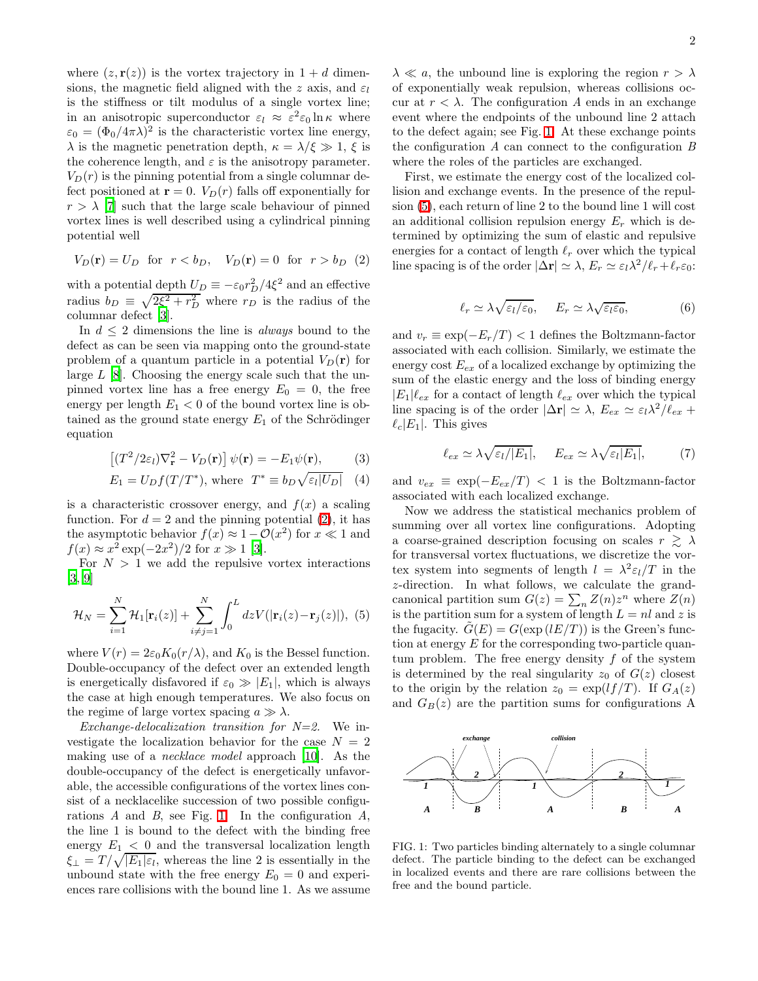where  $(z, r(z))$  is the vortex trajectory in  $1 + d$  dimensions, the magnetic field aligned with the z axis, and  $\varepsilon_l$ is the stiffness or tilt modulus of a single vortex line; in an anisotropic superconductor  $\varepsilon_l \approx \varepsilon^2 \varepsilon_0 \ln \kappa$  where  $\varepsilon_0 = (\Phi_0/4\pi\lambda)^2$  is the characteristic vortex line energy,  $\lambda$  is the magnetic penetration depth,  $\kappa = \lambda/\xi \gg 1$ ,  $\xi$  is the coherence length, and  $\varepsilon$  is the anisotropy parameter.  $V_D(r)$  is the pinning potential from a single columnar defect positioned at  $\mathbf{r} = 0$ .  $V_D(r)$  falls off exponentially for  $r > \lambda$  [\[7\]](#page-4-1) such that the large scale behaviour of pinned vortex lines is well described using a cylindrical pinning potential well

<span id="page-1-0"></span>
$$
V_D(\mathbf{r}) = U_D
$$
 for  $r < b_D$ ,  $V_D(\mathbf{r}) = 0$  for  $r > b_D$  (2)

with a potential depth  $U_D \equiv -\varepsilon_0 r_D^2 / 4 \xi^2$  and an effective radius  $b_D \equiv \sqrt{2\xi^2 + r_D^2}$  where  $r_D$  is the radius of the columnar defect [\[3\]](#page-3-2).

In  $d \leq 2$  dimensions the line is *always* bound to the defect as can be seen via mapping onto the ground-state problem of a quantum particle in a potential  $V_D(\mathbf{r})$  for large  $L$  [\[8](#page-4-2)]. Choosing the energy scale such that the unpinned vortex line has a free energy  $E_0 = 0$ , the free energy per length  $E_1 < 0$  of the bound vortex line is obtained as the ground state energy  $E_1$  of the Schrödinger equation

$$
\left[ (T^2/2\varepsilon_l)\nabla_{\mathbf{r}}^2 - V_D(\mathbf{r}) \right] \psi(\mathbf{r}) = -E_1 \psi(\mathbf{r}),\tag{3}
$$

$$
E_1 = U_D f(T/T^*), \text{ where } T^* \equiv b_D \sqrt{\varepsilon_l |U_D|} \quad (4)
$$

<span id="page-1-3"></span>is a characteristic crossover energy, and  $f(x)$  a scaling function. For  $d = 2$  and the pinning potential [\(2\)](#page-1-0), it has the asymptotic behavior  $f(x) \approx 1 - \mathcal{O}(x^2)$  for  $x \ll 1$  and  $f(x) \approx x^2 \exp(-2x^2)/2$  for  $x \gg 1$  [\[3](#page-3-2)].

<span id="page-1-2"></span>For  $N > 1$  we add the repulsive vortex interactions [\[3,](#page-3-2) [9\]](#page-4-3)

$$
\mathcal{H}_N = \sum_{i=1}^N \mathcal{H}_1[\mathbf{r}_i(z)] + \sum_{i \neq j=1}^N \int_0^L dz V(|\mathbf{r}_i(z) - \mathbf{r}_j(z)|), \tag{5}
$$

where  $V(r) = 2\varepsilon_0 K_0(r/\lambda)$ , and  $K_0$  is the Bessel function. Double-occupancy of the defect over an extended length is energetically disfavored if  $\varepsilon_0 \gg |E_1|$ , which is always the case at high enough temperatures. We also focus on the regime of large vortex spacing  $a \gg \lambda$ .

Exchange-delocalization transition for  $N=2$ . We investigate the localization behavior for the case  $N = 2$ making use of a necklace model approach [\[10](#page-4-4)]. As the double-occupancy of the defect is energetically unfavorable, the accessible configurations of the vortex lines consist of a necklacelike succession of two possible configurations  $A$  and  $B$ , see Fig. [1.](#page-1-1) In the configuration  $A$ , the line 1 is bound to the defect with the binding free energy  $E_1 < 0$  and the transversal localization length  $\xi_{\perp} = T/\sqrt{|E_1|\varepsilon_l}$ , whereas the line 2 is essentially in the unbound state with the free energy  $E_0 = 0$  and experiences rare collisions with the bound line 1. As we assume

 $\lambda \ll a$ , the unbound line is exploring the region  $r > \lambda$ of exponentially weak repulsion, whereas collisions occur at  $r < \lambda$ . The configuration A ends in an exchange event where the endpoints of the unbound line 2 attach to the defect again; see Fig. [1.](#page-1-1) At these exchange points the configuration  $A$  can connect to the configuration  $B$ where the roles of the particles are exchanged.

First, we estimate the energy cost of the localized collision and exchange events. In the presence of the repulsion [\(5\)](#page-1-2), each return of line 2 to the bound line 1 will cost an additional collision repulsion energy  $E_r$  which is determined by optimizing the sum of elastic and repulsive energies for a contact of length  $\ell_r$  over which the typical line spacing is of the order  $|\tilde{\Delta} \mathbf{r}| \simeq \lambda$ ,  $E_r \simeq \varepsilon_l \lambda^2 / \ell_r + \ell_r \varepsilon_0$ :

$$
\ell_r \simeq \lambda \sqrt{\varepsilon_l/\varepsilon_0}, \quad E_r \simeq \lambda \sqrt{\varepsilon_l \varepsilon_0}, \tag{6}
$$

<span id="page-1-4"></span>and  $v_r \equiv \exp(-E_r/T) < 1$  defines the Boltzmann-factor associated with each collision. Similarly, we estimate the energy cost  $E_{ex}$  of a localized exchange by optimizing the sum of the elastic energy and the loss of binding energy  $|E_1|\ell_{ex}$  for a contact of length  $\ell_{ex}$  over which the typical line spacing is of the order  $|\Delta \mathbf{r}| \simeq \lambda$ ,  $E_{ex} \simeq \varepsilon_l \lambda^2 / \ell_{ex}$  +  $\ell_c|E_1|$ . This gives

<span id="page-1-5"></span>
$$
\ell_{ex} \simeq \lambda \sqrt{\varepsilon_l / |E_1|}, \quad E_{ex} \simeq \lambda \sqrt{\varepsilon_l |E_1|}, \tag{7}
$$

and  $v_{ex} \equiv \exp(-E_{ex}/T)$  < 1 is the Boltzmann-factor associated with each localized exchange.

Now we address the statistical mechanics problem of summing over all vortex line configurations. Adopting a coarse-grained description focusing on scales  $r \geq \lambda$ for transversal vortex fluctuations, we discretize the vortex system into segments of length  $l = \lambda^2 \varepsilon_l/T$  in the z-direction. In what follows, we calculate the grandcanonical partition sum  $G(z) = \sum_{n} Z(n)z^n$  where  $Z(n)$ is the partition sum for a system of length  $L = nl$  and z is the fugacity.  $G(E) = G(\exp(lE/T))$  is the Green's function at energy  $E$  for the corresponding two-particle quantum problem. The free energy density  $f$  of the system is determined by the real singularity  $z_0$  of  $G(z)$  closest to the origin by the relation  $z_0 = \exp(lf/T)$ . If  $G_A(z)$ and  $G_B(z)$  are the partition sums for configurations A



<span id="page-1-1"></span>FIG. 1: Two particles binding alternately to a single columnar defect. The particle binding to the defect can be exchanged in localized events and there are rare collisions between the free and the bound particle.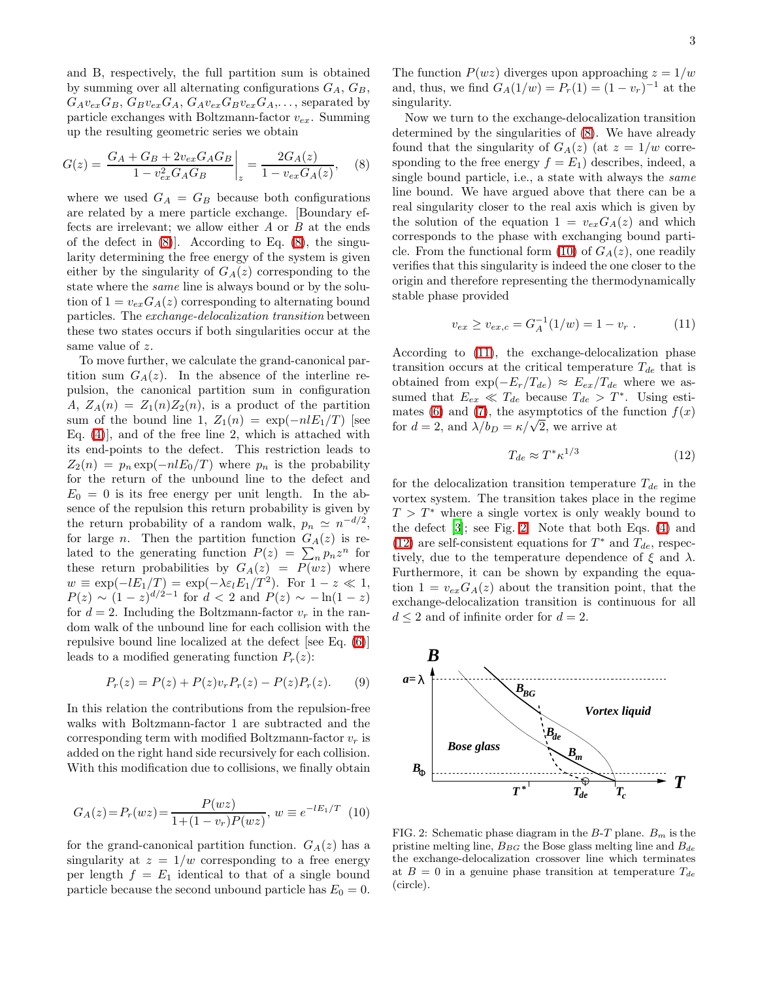<span id="page-2-1"></span>and B, respectively, the full partition sum is obtained by summing over all alternating configurations  $G_A, G_B$ ,  $G_Av_{ex}G_B$ ,  $G_Bv_{ex}G_A$ ,  $G_Av_{ex}G_Bv_{ex}G_A$ , ..., separated by particle exchanges with Boltzmann-factor  $v_{ex}$ . Summing up the resulting geometric series we obtain

$$
G(z) = \left. \frac{G_A + G_B + 2v_{ex}G_A G_B}{1 - v_{ex}^2 G_A G_B} \right|_z = \frac{2G_A(z)}{1 - v_{ex}G_A(z)},
$$
 (8)

where we used  $G_A = G_B$  because both configurations are related by a mere particle exchange. [Boundary effects are irrelevant; we allow either A or B at the ends of the defect in  $(8)$ . According to Eq.  $(8)$ , the singularity determining the free energy of the system is given either by the singularity of  $G_A(z)$  corresponding to the state where the same line is always bound or by the solution of  $1 = v_{ex}G_A(z)$  corresponding to alternating bound particles. The exchange-delocalization transition between these two states occurs if both singularities occur at the same value of z.

To move further, we calculate the grand-canonical partition sum  $G_A(z)$ . In the absence of the interline repulsion, the canonical partition sum in configuration A,  $Z_A(n) = Z_1(n)Z_2(n)$ , is a product of the partition sum of the bound line 1,  $Z_1(n) = \exp(-nlE_1/T)$  [see Eq. [\(4\)](#page-1-3)], and of the free line 2, which is attached with its end-points to the defect. This restriction leads to  $Z_2(n) = p_n \exp(-n l E_0/T)$  where  $p_n$  is the probability for the return of the unbound line to the defect and  $E_0 = 0$  is its free energy per unit length. In the absence of the repulsion this return probability is given by the return probability of a random walk,  $p_n \simeq n^{-d/2}$ , for large *n*. Then the partition function  $G_A(z)$  is related to the generating function  $P(z) = \sum_{n} p_n z^n$  for these return probabilities by  $G_A(z) = P(wz)$  where  $w \equiv \exp(-lE_1/T) = \exp(-\lambda \varepsilon_l E_1/T^2)$ . For  $1 - z \ll 1$ ,  $P(z) \sim (1-z)^{d/2-1}$  for  $d < 2$  and  $P(z) \sim -\ln(1-z)$ for  $d = 2$ . Including the Boltzmann-factor  $v_r$  in the random walk of the unbound line for each collision with the repulsive bound line localized at the defect [see Eq. [\(6\)](#page-1-4)] leads to a modified generating function  $P_r(z)$ :

$$
P_r(z) = P(z) + P(z)v_r P_r(z) - P(z)P_r(z). \tag{9}
$$

In this relation the contributions from the repulsion-free walks with Boltzmann-factor 1 are subtracted and the corresponding term with modified Boltzmann-factor  $v_r$  is added on the right hand side recursively for each collision. With this modification due to collisions, we finally obtain

<span id="page-2-2"></span>
$$
G_A(z) = P_r(wz) = \frac{P(wz)}{1 + (1 - v_r)P(wz)}, \ w \equiv e^{-lE_1/T} \tag{10}
$$

for the grand-canonical partition function.  $G_A(z)$  has a singularity at  $z = 1/w$  corresponding to a free energy per length  $f = E_1$  identical to that of a single bound particle because the second unbound particle has  $E_0 = 0$ .

The function  $P(wz)$  diverges upon approaching  $z = 1/w$ and, thus, we find  $G_A(1/w) = P_r(1) = (1 - v_r)^{-1}$  at the singularity.

Now we turn to the exchange-delocalization transition determined by the singularities of [\(8\)](#page-2-1). We have already found that the singularity of  $G_A(z)$  (at  $z = 1/w$  corresponding to the free energy  $f = E_1$ ) describes, indeed, a single bound particle, i.e., a state with always the same line bound. We have argued above that there can be a real singularity closer to the real axis which is given by the solution of the equation  $1 = v_{ex}G_A(z)$  and which corresponds to the phase with exchanging bound parti-cle. From the functional form [\(10\)](#page-2-2) of  $G_A(z)$ , one readily verifies that this singularity is indeed the one closer to the origin and therefore representing the thermodynamically stable phase provided

<span id="page-2-3"></span>
$$
v_{ex} \ge v_{ex,c} = G_A^{-1}(1/w) = 1 - v_r . \tag{11}
$$

According to [\(11\)](#page-2-3), the exchange-delocalization phase transition occurs at the critical temperature  $T_{de}$  that is obtained from  $\exp(-E_r/T_{de}) \approx E_{ex}/T_{de}$  where we assumed that  $E_{ex} \ll T_{de}$  because  $T_{de} > T^*$ . Using esti-mates [\(6\)](#page-1-4) and [\(7\)](#page-1-5), the asymptotics of the function  $f(x)$ for  $d = 2$ , and  $\lambda/b_D = \kappa/\sqrt{2}$ , we arrive at

<span id="page-2-4"></span>
$$
T_{de} \approx T^* \kappa^{1/3} \tag{12}
$$

for the delocalization transition temperature  $T_{de}$  in the vortex system. The transition takes place in the regime  $T > T^*$  where a single vortex is only weakly bound to the defect [\[3\]](#page-3-2); see Fig. [2.](#page-2-0) Note that both Eqs. [\(4\)](#page-1-3) and [\(12\)](#page-2-4) are self-consistent equations for  $T^*$  and  $T_{de}$ , respectively, due to the temperature dependence of  $\xi$  and  $\lambda$ . Furthermore, it can be shown by expanding the equation  $1 = v_{ex}G_A(z)$  about the transition point, that the exchange-delocalization transition is continuous for all  $d \leq 2$  and of infinite order for  $d = 2$ .



<span id="page-2-0"></span>FIG. 2: Schematic phase diagram in the  $B-T$  plane.  $B_m$  is the pristine melting line,  $B_{BG}$  the Bose glass melting line and  $B_{de}$ the exchange-delocalization crossover line which terminates at  $B = 0$  in a genuine phase transition at temperature  $T_{de}$ (circle).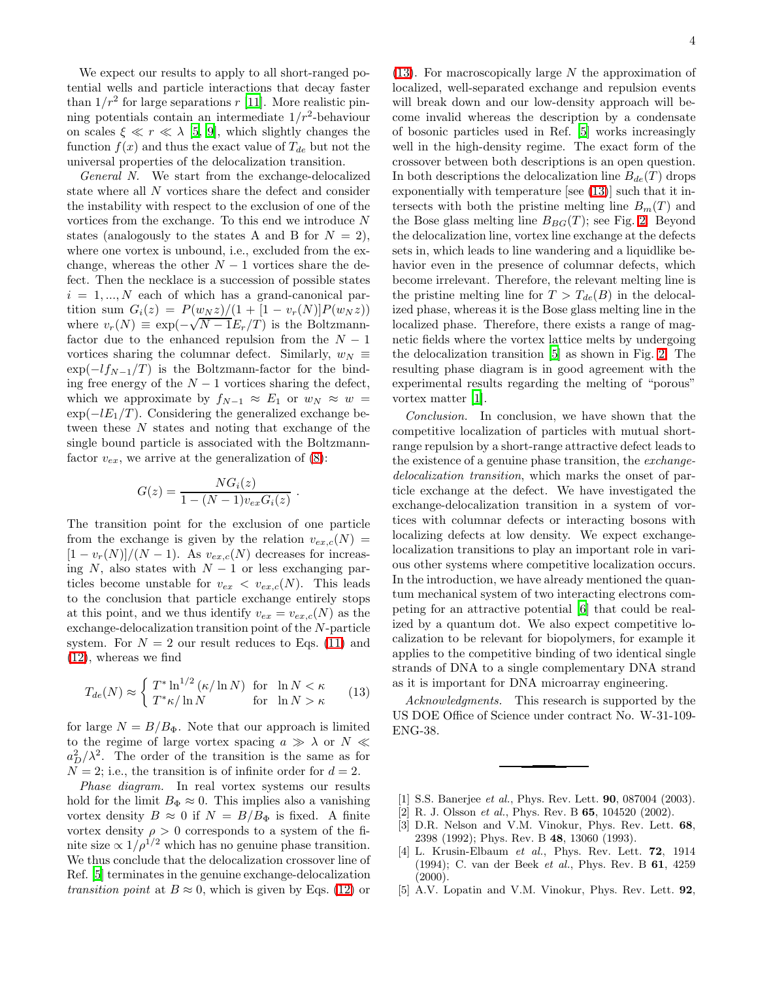We expect our results to apply to all short-ranged potential wells and particle interactions that decay faster than  $1/r^2$  for large separations r [\[11\]](#page-4-5). More realistic pinning potentials contain an intermediate  $1/r^2$ -behaviour on scales  $\xi \ll r \ll \lambda$  [\[5,](#page-3-4) [9\]](#page-4-3), which slightly changes the function  $f(x)$  and thus the exact value of  $T_{de}$  but not the universal properties of the delocalization transition.

General N. We start from the exchange-delocalized state where all N vortices share the defect and consider the instability with respect to the exclusion of one of the vortices from the exchange. To this end we introduce N states (analogously to the states A and B for  $N = 2$ ), where one vortex is unbound, i.e., excluded from the exchange, whereas the other  $N-1$  vortices share the defect. Then the necklace is a succession of possible states  $i = 1, ..., N$  each of which has a grand-canonical partition sum  $G_i(z) = P(w_N z)/(1 + [1 - v_r(N)]P(w_N z))$ where  $v_r(N) \equiv \exp(-\sqrt{N-1}E_r/T)$  is the Boltzmannfactor due to the enhanced repulsion from the  $N-1$ vortices sharing the columnar defect. Similarly,  $w_N \equiv$  $\exp(-lf_{N-1}/T)$  is the Boltzmann-factor for the binding free energy of the  $N-1$  vortices sharing the defect, which we approximate by  $f_{N-1} \approx E_1$  or  $w_N \approx w =$  $\exp(-lE_1/T)$ . Considering the generalized exchange between these N states and noting that exchange of the single bound particle is associated with the Boltzmannfactor  $v_{ex}$ , we arrive at the generalization of [\(8\)](#page-2-1):

$$
G(z) = \frac{NG_i(z)}{1 - (N-1)v_{ex}G_i(z)}
$$

.

The transition point for the exclusion of one particle from the exchange is given by the relation  $v_{ex,c}(N) =$  $[1 - v_r(N)]/(N - 1)$ . As  $v_{ex,c}(N)$  decreases for increasing  $N$ , also states with  $N-1$  or less exchanging particles become unstable for  $v_{ex} < v_{ex,c}(N)$ . This leads to the conclusion that particle exchange entirely stops at this point, and we thus identify  $v_{ex} = v_{ex,c}(N)$  as the exchange-delocalization transition point of the N-particle system. For  $N = 2$  our result reduces to Eqs. [\(11\)](#page-2-3) and [\(12\)](#page-2-4), whereas we find

<span id="page-3-5"></span>
$$
T_{de}(N) \approx \begin{cases} T^* \ln^{1/2} (\kappa/\ln N) & \text{for} \quad \ln N < \kappa \\ T^* \kappa/\ln N & \text{for} \quad \ln N > \kappa \end{cases} \tag{13}
$$

for large  $N = B/B_{\Phi}$ . Note that our approach is limited to the regime of large vortex spacing  $a \gg \lambda$  or  $N \ll$  $a_D^2/\lambda^2$ . The order of the transition is the same as for  $N = 2$ ; i.e., the transition is of infinite order for  $d = 2$ .

Phase diagram. In real vortex systems our results hold for the limit  $B_{\Phi} \approx 0$ . This implies also a vanishing vortex density  $B \approx 0$  if  $N = B/B_{\Phi}$  is fixed. A finite vortex density  $\rho > 0$  corresponds to a system of the finite size  $\propto 1/\rho^{1/2}$  which has no genuine phase transition. We thus conclude that the delocalization crossover line of Ref. [\[5\]](#page-3-4) terminates in the genuine exchange-delocalization transition point at  $B \approx 0$ , which is given by Eqs. [\(12\)](#page-2-4) or

 $(13)$ . For macroscopically large N the approximation of localized, well-separated exchange and repulsion events will break down and our low-density approach will become invalid whereas the description by a condensate of bosonic particles used in Ref. [\[5](#page-3-4)] works increasingly well in the high-density regime. The exact form of the crossover between both descriptions is an open question. In both descriptions the delocalization line  $B_{de}(T)$  drops exponentially with temperature [see [\(13\)](#page-3-5)] such that it intersects with both the pristine melting line  $B_m(T)$  and the Bose glass melting line  $B_{BG}(T)$ ; see Fig. [2.](#page-2-0) Beyond the delocalization line, vortex line exchange at the defects sets in, which leads to line wandering and a liquidlike behavior even in the presence of columnar defects, which become irrelevant. Therefore, the relevant melting line is the pristine melting line for  $T > T_{de}(B)$  in the delocalized phase, whereas it is the Bose glass melting line in the localized phase. Therefore, there exists a range of magnetic fields where the vortex lattice melts by undergoing the delocalization transition [\[5\]](#page-3-4) as shown in Fig. [2.](#page-2-0) The resulting phase diagram is in good agreement with the experimental results regarding the melting of "porous" vortex matter [\[1](#page-3-0)].

Conclusion. In conclusion, we have shown that the competitive localization of particles with mutual shortrange repulsion by a short-range attractive defect leads to the existence of a genuine phase transition, the exchangedelocalization transition, which marks the onset of particle exchange at the defect. We have investigated the exchange-delocalization transition in a system of vortices with columnar defects or interacting bosons with localizing defects at low density. We expect exchangelocalization transitions to play an important role in various other systems where competitive localization occurs. In the introduction, we have already mentioned the quantum mechanical system of two interacting electrons competing for an attractive potential [\[6\]](#page-4-0) that could be realized by a quantum dot. We also expect competitive localization to be relevant for biopolymers, for example it applies to the competitive binding of two identical single strands of DNA to a single complementary DNA strand as it is important for DNA microarray engineering.

Acknowledgments. This research is supported by the US DOE Office of Science under contract No. W-31-109- ENG-38.

- [1] S.S. Banerjee *et al.*, Phys. Rev. Lett. **90**, 087004 (2003).
- <span id="page-3-2"></span><span id="page-3-1"></span><span id="page-3-0"></span>[2] R. J. Olsson et al., Phys. Rev. B  $65$ , 104520 (2002).
- [3] D.R. Nelson and V.M. Vinokur, Phys. Rev. Lett. 68, 2398 (1992); Phys. Rev. B 48, 13060 (1993).
- <span id="page-3-3"></span>[4] L. Krusin-Elbaum et al., Phys. Rev. Lett. **72**, 1914 (1994); C. van der Beek et al., Phys. Rev. B 61, 4259  $(2000)$ .
- <span id="page-3-4"></span>[5] A.V. Lopatin and V.M. Vinokur, Phys. Rev. Lett. **92**,